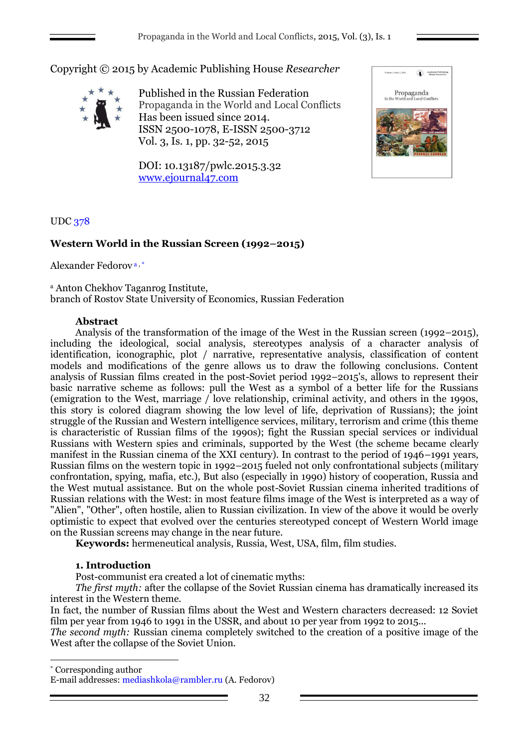Copyright © 2015 by Academic Publishing House *Researcher*



Published in the Russian Federation Propaganda in the World and Local Conflicts Has been issued since 2014. ISSN 2500-1078, E-ISSN 2500-3712 Vol. 3, Is. 1, pp. 32-52, 2015

DOI: 10.13187/pwlc.2015.3.32 [www.ejournal47.com](http://www.ejournal47.com/)



# UDC 378

# **Western World in the Russian Screen (1992–2015)**

Alexander Fedorov a , \*

<sup>a</sup> Anton Chekhov Taganrog Institute, branch of Rostov State University of Economics, Russian Federation

# **Abstract**

Analysis of the transformation of the image of the West in the Russian screen (1992–2015), including the ideological, social analysis, stereotypes analysis of a character analysis of identification, iconographic, plot / narrative, representative analysis, classification of content models and modifications of the genre allows us to draw the following conclusions. Content analysis of Russian films created in the post-Soviet period 1992–2015's, allows to represent their basic narrative scheme as follows: pull the West as a symbol of a better life for the Russians (emigration to the West, marriage  $\overline{\phantom{a}}$  love relationship, criminal activity, and others in the 1990s, this story is colored diagram showing the low level of life, deprivation of Russians); the joint struggle of the Russian and Western intelligence services, military, terrorism and crime (this theme is characteristic of Russian films of the 1990s); fight the Russian special services or individual Russians with Western spies and criminals, supported by the West (the scheme became clearly manifest in the Russian cinema of the XXI century). In contrast to the period of 1946–1991 years, Russian films on the western topic in 1992–2015 fueled not only confrontational subjects (military confrontation, spying, mafia, etc.), But also (especially in 1990) history of cooperation, Russia and the West mutual assistance. But on the whole post-Soviet Russian cinema inherited traditions of Russian relations with the West: in most feature films image of the West is interpreted as a way of "Alien", "Other", often hostile, alien to Russian civilization. In view of the above it would be overly optimistic to expect that evolved over the centuries stereotyped concept of Western World image on the Russian screens may change in the near future.

**Keywords:** hermeneutical analysis, Russia, West, USA, film, film studies.

# **1. Introduction**

Post-communist era created a lot of cinematic myths:

*The first myth:* after the collapse of the Soviet Russian cinema has dramatically increased its interest in the Western theme.

In fact, the number of Russian films about the West and Western characters decreased: 12 Soviet film per year from 1946 to 1991 in the USSR, and about 10 per year from 1992 to 2015...

*The second myth:* Russian cinema completely switched to the creation of a positive image of the West after the collapse of the Soviet Union.

1 \* Corresponding author

E-mail addresses: mediashkola@rambler.ru (A. Fedorov)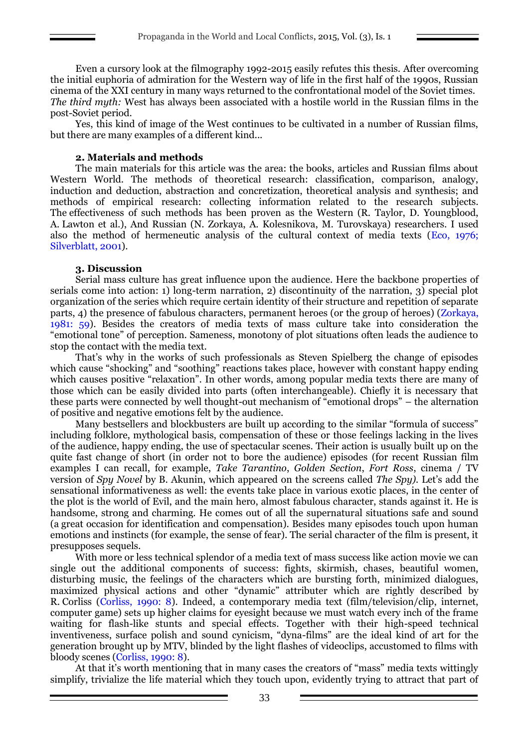Even a cursory look at the filmography 1992-2015 easily refutes this thesis. After overcoming the initial euphoria of admiration for the Western way of life in the first half of the 1990s, Russian cinema of the XXI century in many ways returned to the confrontational model of the Soviet times. *The third myth:* West has always been associated with a hostile world in the Russian films in the post-Soviet period.

Yes, this kind of image of the West continues to be cultivated in a number of Russian films, but there are many examples of a different kind...

#### **2. Materials and methods**

The main materials for this article was the area: the books, articles and Russian films about Western World. The methods of theoretical research: classification, comparison, analogy, induction and deduction, abstraction and concretization, theoretical analysis and synthesis; and methods of empirical research: collecting information related to the research subjects. The effectiveness of such methods has been proven as the Western (R. Taylor, D. Youngblood, A. Lawton et al.), And Russian (N. Zorkaya, A. Kolesnikova, M. Turovskaya) researchers. I used also the method of hermeneutic analysis of the cultural context of media texts (Eco, 1976; Silverblatt, 2001).

#### **3. Discussion**

Serial mass culture has great influence upon the audience. Here the backbone properties of serials come into action: 1) long-term narration, 2) discontinuity of the narration, 3) special plot organization of the series which require certain identity of their structure and repetition of separate parts, 4) the presence of fabulous characters, permanent heroes (or the group of heroes) (Zorkaya, 1981: 59). Besides the creators of media texts of mass culture take into consideration the "emotional tone" of perception. Sameness, monotony of plot situations often leads the audience to stop the contact with the media text.

That's why in the works of such professionals as Steven Spielberg the change of episodes which cause "shocking" and "soothing" reactions takes place, however with constant happy ending which causes positive "relaxation". In other words, among popular media texts there are many of those which can be easily divided into parts (often interchangeable). Chiefly it is necessary that these parts were connected by well thought-out mechanism of "emotional drops" – the alternation of positive and negative emotions felt by the audience.

Many bestsellers and blockbusters are built up according to the similar "formula of success" including folklore, mythological basis, compensation of these or those feelings lacking in the lives of the audience, happy ending, the use of spectacular scenes. Their action is usually built up on the quite fast change of short (in order not to bore the audience) episodes (for recent Russian film examples I can recall, for example, *Take Tarantino*, *Golden Section*, *Fort Ross*, cinema / TV version of *Spy Novel* by B. Akunin, which appeared on the screens called *The Spy).* Let's add the sensational informativeness as well: the events take place in various exotic places, in the center of the plot is the world of Evil, and the main hero, almost fabulous character, stands against it. He is handsome, strong and charming. He comes out of all the supernatural situations safe and sound (a great occasion for identification and compensation). Besides many episodes touch upon human emotions and instincts (for example, the sense of fear). The serial character of the film is present, it presupposes sequels.

With more or less technical splendor of a media text of mass success like action movie we can single out the additional components of success: fights, skirmish, chases, beautiful women, disturbing music, the feelings of the characters which are bursting forth, minimized dialogues, maximized physical actions and other "dynamic" attributer which are rightly described by R. Corliss (Corliss, 1990: 8). Indeed, a contemporary media text (film/television/clip, internet, computer game) sets up higher claims for eyesight because we must watch every inch of the frame waiting for flash-like stunts and special effects. Together with their high-speed technical inventiveness, surface polish and sound cynicism, "dyna-films" are the ideal kind of art for the generation brought up by MTV, blinded by the light flashes of videoclips, accustomed to films with bloody scenes (Corliss, 1990: 8).

At that it's worth mentioning that in many cases the creators of "mass" media texts wittingly simplify, trivialize the life material which they touch upon, evidently trying to attract that part of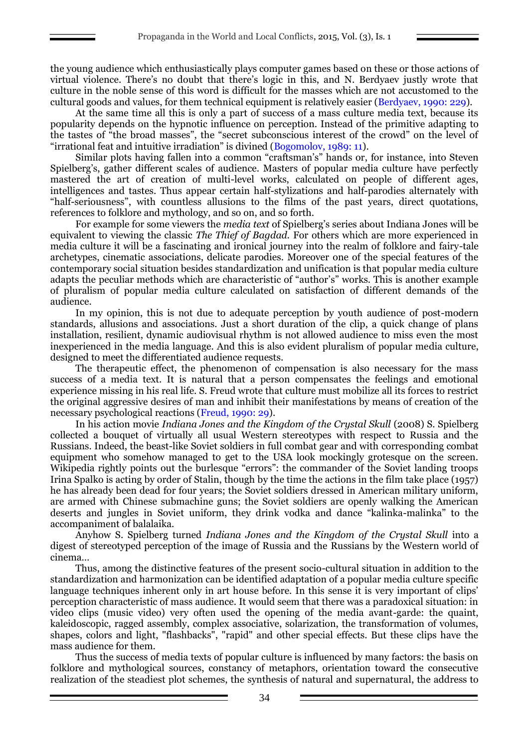the young audience which enthusiastically plays computer games based on these or those actions of virtual violence. There's no doubt that there's logic in this, and N. Berdyaev justly wrote that culture in the noble sense of this word is difficult for the masses which are not accustomed to the cultural goods and values, for them technical equipment is relatively easier (Berdyaev, 1990: 229).

At the same time all this is only a part of success of a mass culture media text, because its popularity depends on the hypnotic influence on perception. Instead of the primitive adapting to the tastes of "the broad masses", the "secret subconscious interest of the crowd" on the level of "irrational feat and intuitive irradiation" is divined (Bogomolov, 1989: 11).

Similar plots having fallen into a common "craftsman's" hands or, for instance, into Steven Spielberg's, gather different scales of audience. Masters of popular media culture have perfectly mastered the art of creation of multi-level works, calculated on people of different ages, intelligences and tastes. Thus appear certain half-stylizations and half-parodies alternately with "half-seriousness", with countless allusions to the films of the past years, direct quotations, references to folklore and mythology, and so on, and so forth.

For example for some viewers the *media text* of Spielberg's series about Indiana Jones will be equivalent to viewing the classic *The Thief of Bagdad.* For others which are more experienced in media culture it will be a fascinating and ironical journey into the realm of folklore and fairy-tale archetypes, cinematic associations, delicate parodies. Moreover one of the special features of the contemporary social situation besides standardization and unification is that popular media culture adapts the peculiar methods which are characteristic of "author's" works. This is another example of pluralism of popular media culture calculated on satisfaction of different demands of the audience.

In my opinion, this is not due to adequate perception by youth audience of post-modern standards, allusions and associations. Just a short duration of the clip, a quick change of plans installation, resilient, dynamic audiovisual rhythm is not allowed audience to miss even the most inexperienced in the media language. And this is also evident pluralism of popular media culture, designed to meet the differentiated audience requests.

The therapeutic effect, the phenomenon of compensation is also necessary for the mass success of a media text. It is natural that a person compensates the feelings and emotional experience missing in his real life. S. Freud wrote that culture must mobilize all its forces to restrict the original aggressive desires of man and inhibit their manifestations by means of creation of the necessary psychological reactions (Freud, 1990: 29).

In his action movie *Indiana Jones and the Kingdom of the Crystal Skull* (2008) S. Spielberg collected a bouquet of virtually all usual Western stereotypes with respect to Russia and the Russians. Indeed, the beast-like Soviet soldiers in full combat gear and with corresponding combat equipment who somehow managed to get to the USA look mockingly grotesque on the screen. Wikipedia rightly points out the burlesque "errors": the commander of the Soviet landing troops Irina Spalko is acting by order of Stalin, though by the time the actions in the film take place (1957) he has already been dead for four years; the Soviet soldiers dressed in American military uniform, are armed with Chinese submachine guns; the Soviet soldiers are openly walking the American deserts and jungles in Soviet uniform, they drink vodka and dance "kalinka-malinka" to the accompaniment of balalaika.

Anyhow S. Spielberg turned *Indiana Jones and the Kingdom of the Crystal Skull* into a digest of stereotyped perception of the image of Russia and the Russians by the Western world of cinema…

Thus, among the distinctive features of the present socio-cultural situation in addition to the standardization and harmonization can be identified adaptation of a popular media culture specific language techniques inherent only in art house before. In this sense it is very important of clips' perception characteristic of mass audience. It would seem that there was a paradoxical situation: in video clips (music video) very often used the opening of the media avant-garde: the quaint, kaleidoscopic, ragged assembly, complex associative, solarization, the transformation of volumes, shapes, colors and light, "flashbacks", "rapid" and other special effects. But these clips have the mass audience for them.

Thus the success of media texts of popular culture is influenced by many factors: the basis on folklore and mythological sources, constancy of metaphors, orientation toward the consecutive realization of the steadiest plot schemes, the synthesis of natural and supernatural, the address to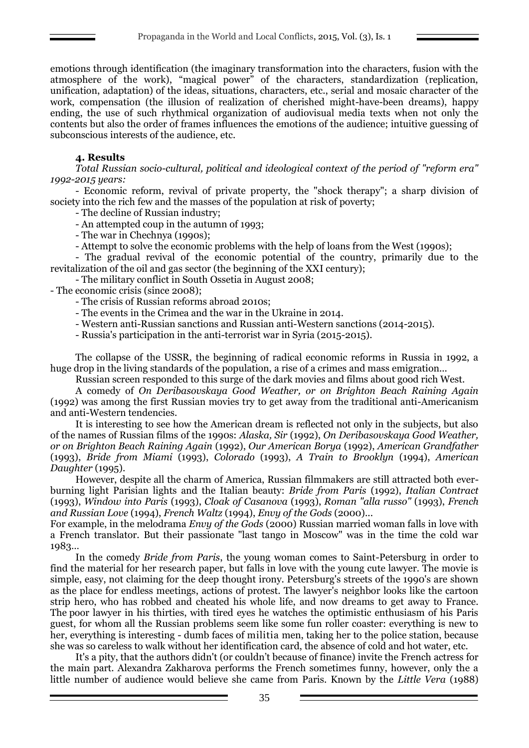emotions through identification (the imaginary transformation into the characters, fusion with the atmosphere of the work), "magical power" of the characters, standardization (replication, unification, adaptation) of the ideas, situations, characters, etc., serial and mosaic character of the work, compensation (the illusion of realization of cherished might-have-been dreams), happy ending, the use of such rhythmical organization of audiovisual media texts when not only the contents but also the order of frames influences the emotions of the audience; intuitive guessing of subconscious interests of the audience, etc.

### **4. Results**

*Total Russian socio-cultural, political and ideological context of the period of "reform era" 1992-2015 years:*

- Economic reform, revival of private property, the "shock therapy"; a sharp division of society into the rich few and the masses of the population at risk of poverty;

- The decline of Russian industry;

- An attempted coup in the autumn of 1993;

- The war in Chechnya (1990s);

- Attempt to solve the economic problems with the help of loans from the West (1990s);

- The gradual revival of the economic potential of the country, primarily due to the revitalization of the oil and gas sector (the beginning of the XXI century);

- The military conflict in South Ossetia in August 2008;

- The economic crisis (since 2008);

- The crisis of Russian reforms abroad 2010s;

- The events in the Crimea and the war in the Ukraine in 2014.

- Western anti-Russian sanctions and Russian anti-Western sanctions (2014-2015).

- Russia's participation in the anti-terrorist war in Syria (2015-2015).

The collapse of the USSR, the beginning of radical economic reforms in Russia in 1992, a huge drop in the living standards of the population, a rise of a crimes and mass emigration...

Russian screen responded to this surge of the dark movies and films about good rich West.

A comedy of *On Deribasovskaya Good Weather, or on Brighton Beach Raining Again*  (1992) was among the first Russian movies try to get away from the traditional anti-Americanism and anti-Western tendencies.

It is interesting to see how the American dream is reflected not only in the subjects, but also of the names of Russian films of the 1990s: *Alaska, Sir* (1992), *On Deribasovskaya Good Weather, or on Brighton Beach Raining Again* (1992), *Our American Borya* (1992), *American Grandfather* (1993), *Bride from Miami* (1993), *Colorado* (1993), *A Train to Brooklyn* (1994), *American Daughter* (1995).

However, despite all the charm of America, Russian filmmakers are still attracted both everburning light Parisian lights and the Italian beauty: *Bride from Paris* (1992), *Italian Contract* (1993), *Window into Paris* (1993), *Cloak of Casanova* (1993), *Roman "alla russo"* (1993), *French and Russian Love* (1994), *French Waltz* (1994), *Envy of the Gods* (2000)...

For example, in the melodrama *Envy of the Gods* (2000) Russian married woman falls in love with a French translator. But their passionate "last tango in Moscow" was in the time the cold war 1983…

In the comedy *Bride from Paris*, the young woman comes to Saint-Petersburg in order to find the material for her research paper, but falls in love with the young cute lawyer. The movie is simple, easy, not claiming for the deep thought irony. Petersburg's streets of the 1990's are shown as the place for endless meetings, actions of protest. The lawyer's neighbor looks like the cartoon strip hero, who has robbed and cheated his whole life, and now dreams to get away to France. The poor lawyer in his thirties, with tired eyes he watches the optimistic enthusiasm of his Paris guest, for whom all the Russian problems seem like some fun roller coaster: everything is new to her, everything is interesting - dumb faces of militia men, taking her to the police station, because she was so careless to walk without her identification card, the absence of cold and hot water, etc.

It's a pity, that the authors didn't (or couldn't because of finance) invite the French actress for the main part. Alexandra Zakharova performs the French sometimes funny, however, only the a little number of audience would believe she came from Paris. Known by the *Little Vera* (1988)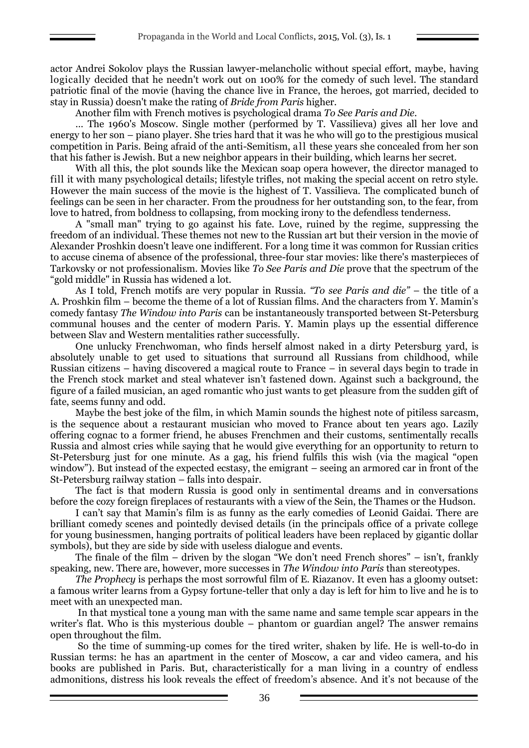actor Andrei Sokolov plays the Russian lawyer-melancholic without special effort, maybe, having logically decided that he needn't work out on 100% for the comedy of such level. The standard patriotic final of the movie (having the chance live in France, the heroes, got married, decided to stay in Russia) doesn't make the rating of *Bride from Paris* higher.

Another film with French motives is psychological drama *To See Paris and Die*.

… The 1960's Moscow. Single mother (performed by T. Vassilieva) gives all her love and energy to her son – piano player. She tries hard that it was he who will go to the prestigious musical competition in Paris. Being afraid of the anti-Semitism, all these years she concealed from her son that his father is Jewish. But a new neighbor appears in their building, which learns her secret.

With all this, the plot sounds like the Mexican soap opera however, the director managed to fill it with many psychological details; lifestyle trifles, not making the special accent on retro style. However the main success of the movie is the highest of T. Vassilieva. The complicated bunch of feelings can be seen in her character. From the proudness for her outstanding son, to the fear, from love to hatred, from boldness to collapsing, from mocking irony to the defendless tenderness.

A "small man" trying to go against his fate. Love, ruined by the regime, suppressing the freedom of an individual. These themes not new to the Russian art but their version in the movie of Alexander Proshkin doesn't leave one indifferent. For a long time it was common for Russian critics to accuse cinema of absence of the professional, three-four star movies: like there's masterpieces of Tarkovsky or not professionalism. Movies like *To See Paris and Die* prove that the spectrum of the "gold middle" in Russia has widened a lot.

As I told, French motifs are very popular in Russia. *"To see Paris and die"* – the title of a A. Proshkin film – become the theme of a lot of Russian films. And the characters from Y. Mamin's comedy fantasy *The Window into Paris* can be instantaneously transported between St-Petersburg communal houses and the center of modern Paris. Y. Mamin plays up the essential difference between Slav and Western mentalities rather successfully.

One unlucky Frenchwoman, who finds herself almost naked in a dirty Petersburg yard, is absolutely unable to get used to situations that surround all Russians from childhood, while Russian citizens – having discovered a magical route to France – in several days begin to trade in the French stock market and steal whatever isn't fastened down. Against such a background, the figure of a failed musician, an aged romantic who just wants to get pleasure from the sudden gift of fate, seems funny and odd.

Maybe the best joke of the film, in which Mamin sounds the highest note of pitiless sarcasm, is the sequence about a restaurant musician who moved to France about ten years ago. Lazily offering cognac to a former friend, he abuses Frenchmen and their customs, sentimentally recalls Russia and almost cries while saying that he would give everything for an opportunity to return to St-Petersburg just for one minute. As a gag, his friend fulfils this wish (via the magical "open window"). But instead of the expected ecstasy, the emigrant – seeing an armored car in front of the St-Petersburg railway station – falls into despair.

The fact is that modern Russia is good only in sentimental dreams and in conversations before the cozy foreign fireplaces of restaurants with a view of the Sein, the Thames or the Hudson.

I can't say that Mamin's film is as funny as the early comedies of Leonid Gaidai. There are brilliant comedy scenes and pointedly devised details (in the principals office of a private college for young businessmen, hanging portraits of political leaders have been replaced by gigantic dollar symbols), but they are side by side with useless dialogue and events.

The finale of the film – driven by the slogan "We don't need French shores" – isn't, frankly speaking, new. There are, however, more successes in *The Window into Paris* than stereotypes.

*The Prophecy* is perhaps the most sorrowful film of E. Riazanov. It even has a gloomy outset: a famous writer learns from a Gypsy fortune-teller that only a day is left for him to live and he is to meet with an unexpected man.

In that mystical tone a young man with the same name and same temple scar appears in the writer's flat. Who is this mysterious double – phantom or guardian angel? The answer remains open throughout the film.

So the time of summing-up comes for the tired writer, shaken by life. He is well-to-do in Russian terms: he has an apartment in the center of Moscow, a car and video camera, and his books are published in Paris. But, characteristically for a man living in a country of endless admonitions, distress his look reveals the effect of freedom's absence. And it's not because of the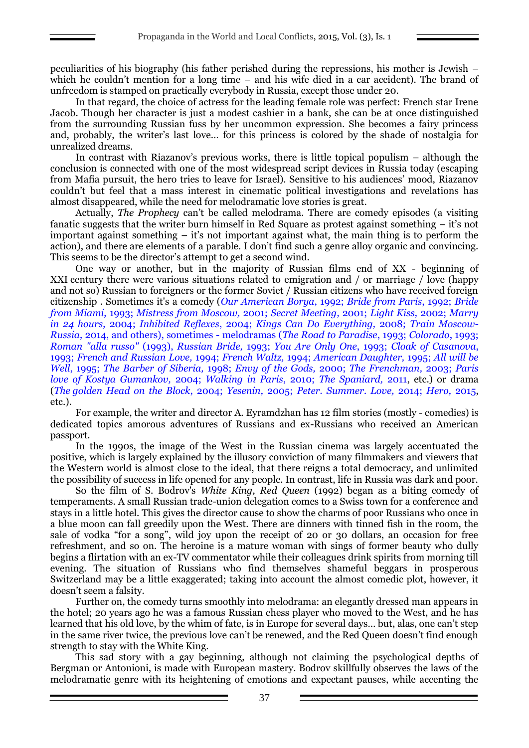peculiarities of his biography (his father perished during the repressions, his mother is Jewish – which he couldn't mention for a long time – and his wife died in a car accident). The brand of unfreedom is stamped on practically everybody in Russia, except those under 20.

In that regard, the choice of actress for the leading female role was perfect: French star Irene Jacob. Though her character is just a modest cashier in a bank, she can be at once distinguished from the surrounding Russian fuss by her uncommon expression. She becomes a fairy princess and, probably, the writer's last love… for this princess is colored by the shade of nostalgia for unrealized dreams.

In contrast with Riazanov's previous works, there is little topical populism – although the conclusion is connected with one of the most widespread script devices in Russia today (escaping from Mafia pursuit, the hero tries to leave for Israel). Sensitive to his audiences' mood, Riazanov couldn't but feel that a mass interest in cinematic political investigations and revelations has almost disappeared, while the need for melodramatic love stories is great.

Actually, *The Prophecy* can't be called melodrama. There are comedy episodes (a visiting fanatic suggests that the writer burn himself in Red Square as protest against something – it's not important against something – it's not important against what, the main thing is to perform the action), and there are elements of a parable. I don't find such a genre alloy organic and convincing. This seems to be the director's attempt to get a second wind.

One way or another, but in the majority of Russian films end of XX - beginning of XXI century there were various situations related to emigration and / or marriage / love (happy and not so) Russian to foreigners or the former Soviet / Russian citizens who have received foreign citizenship . Sometimes it's a comedy (*Our American Borya*, 1992; *Bride from Paris*, 1992; *Bride from Miami,* 1993; *Mistress from Moscow,* 2001; *Secret Meeting*, 2001; *Light Kiss,* 2002; *Marry in 24 hours,* 2004; *Inhibited Reflexes*, 2004; *Kings Can Do Everything,* 2008; *Train Moscow-Russia,* 2014, and others), sometimes - melodramas (*The Road to Paradise*, 1993; *Colorado*, 1993; *Roman "alla russo"* (1993), *Russian Bride,* 1993; *You Are Only One*, 1993; *Cloak of Casanova*, 1993; *French and Russian Love,* 1994; *French Waltz,* 1994; *American Daughter,* 1995; *All will be Well*, 1995; *The Barber of Siberia,* 1998; *Envy of the Gods,* 2000; *The Frenchman,* 2003; *Paris love of Kostya Gumankov,* 2004; *Walking in Paris*, 2010; *The Spaniard,* 2011, etc.) or drama (*The golden Head on the Block*, 2004; *Yesenin,* 2005; *Peter. Summer. Love,* 2014; *Hero,* 2015, etc.).

For example, the writer and director A. Eyramdzhan has 12 film stories (mostly - comedies) is dedicated topics amorous adventures of Russians and ex-Russians who received an American passport.

In the 1990s, the image of the West in the Russian cinema was largely accentuated the positive, which is largely explained by the illusory conviction of many filmmakers and viewers that the Western world is almost close to the ideal, that there reigns a total democracy, and unlimited the possibility of success in life opened for any people. In contrast, life in Russia was dark and poor.

So the film of S. Bodrov's *White King, Red Queen* (1992) began as a biting comedy of temperaments. A small Russian trade-union delegation comes to a Swiss town for a conference and stays in a little hotel. This gives the director cause to show the charms of poor Russians who once in a blue moon can fall greedily upon the West. There are dinners with tinned fish in the room, the sale of vodka "for a song", wild joy upon the receipt of 20 or 30 dollars, an occasion for free refreshment, and so on. The heroine is a mature woman with sings of former beauty who dully begins a flirtation with an ex-TV commentator while their colleagues drink spirits from morning till evening. The situation of Russians who find themselves shameful beggars in prosperous Switzerland may be a little exaggerated; taking into account the almost comedic plot, however, it doesn't seem a falsity.

Further on, the comedy turns smoothly into melodrama: an elegantly dressed man appears in the hotel; 20 years ago he was a famous Russian chess player who moved to the West, and he has learned that his old love, by the whim of fate, is in Europe for several days… but, alas, one can't step in the same river twice, the previous love can't be renewed, and the Red Queen doesn't find enough strength to stay with the White King.

This sad story with a gay beginning, although not claiming the psychological depths of Bergman or Antonioni, is made with European mastery. Bodrov skillfully observes the laws of the melodramatic genre with its heightening of emotions and expectant pauses, while accenting the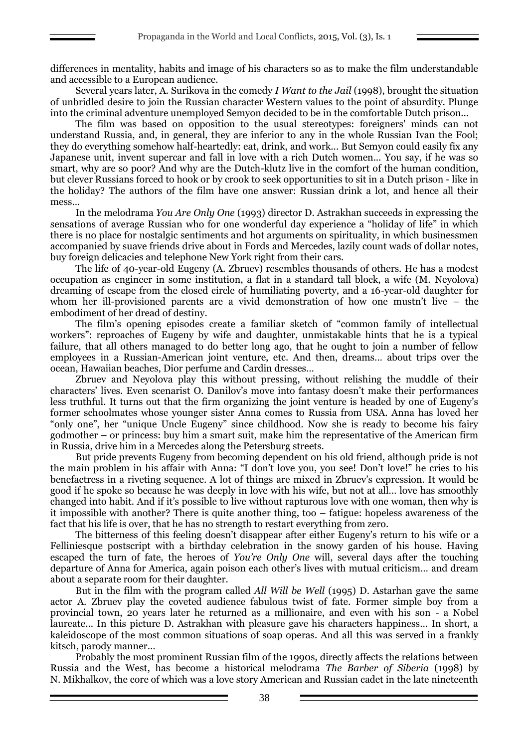differences in mentality, habits and image of his characters so as to make the film understandable and accessible to a European audience.

Several years later, A. Surikova in the comedy *I Want to the Jail* (1998), brought the situation of unbridled desire to join the Russian character Western values to the point of absurdity. Plunge into the criminal adventure unemployed Semyon decided to be in the comfortable Dutch prison...

The film was based on opposition to the usual stereotypes: foreigners' minds can not understand Russia, and, in general, they are inferior to any in the whole Russian Ivan the Fool; they do everything somehow half-heartedly: eat, drink, and work... But Semyon could easily fix any Japanese unit, invent supercar and fall in love with a rich Dutch women... You say, if he was so smart, why are so poor? And why are the Dutch-klutz live in the comfort of the human condition, but clever Russians forced to hook or by crook to seek opportunities to sit in a Dutch prison - like in the holiday? The authors of the film have one answer: Russian drink a lot, and hence all their mess…

In the melodrama *You Are Only One* (1993) director D. Astrakhan succeeds in expressing the sensations of average Russian who for one wonderful day experience a "holiday of life" in which there is no place for nostalgic sentiments and hot arguments on spirituality, in which businessmen accompanied by suave friends drive about in Fords and Mercedes, lazily count wads of dollar notes, buy foreign delicacies and telephone New York right from their cars.

The life of 40-year-old Eugeny (A. Zbruev) resembles thousands of others. He has a modest occupation as engineer in some institution, a flat in a standard tall block, a wife (M. Neyolova) dreaming of escape from the closed circle of humiliating poverty, and a 16-year-old daughter for whom her ill-provisioned parents are a vivid demonstration of how one mustn't live – the embodiment of her dread of destiny.

The film's opening episodes create a familiar sketch of "common family of intellectual workers": reproaches of Eugeny by wife and daughter, unmistakable hints that he is a typical failure, that all others managed to do better long ago, that he ought to join a number of fellow employees in a Russian-American joint venture, etc. And then, dreams… about trips over the ocean, Hawaiian beaches, Dior perfume and Cardin dresses…

Zbruev and Neyolova play this without pressing, without relishing the muddle of their characters' lives. Even scenarist O. Danilov's move into fantasy doesn't make their performances less truthful. It turns out that the firm organizing the joint venture is headed by one of Eugeny's former schoolmates whose younger sister Anna comes to Russia from USA. Anna has loved her "only one", her "unique Uncle Eugeny" since childhood. Now she is ready to become his fairy godmother – or princess: buy him a smart suit, make him the representative of the American firm in Russia, drive him in a Mercedes along the Petersburg streets.

But pride prevents Eugeny from becoming dependent on his old friend, although pride is not the main problem in his affair with Anna: "I don't love you, you see! Don't love!" he cries to his benefactress in a riveting sequence. A lot of things are mixed in Zbruev's expression. It would be good if he spoke so because he was deeply in love with his wife, but not at all… love has smoothly changed into habit. And if it's possible to live without rapturous love with one woman, then why is it impossible with another? There is quite another thing, too – fatigue: hopeless awareness of the fact that his life is over, that he has no strength to restart everything from zero.

The bitterness of this feeling doesn't disappear after either Eugeny's return to his wife or a Felliniesque postscript with a birthday celebration in the snowy garden of his house. Having escaped the turn of fate, the heroes of *You're Only One* will, several days after the touching departure of Anna for America, again poison each other's lives with mutual criticism… and dream about a separate room for their daughter.

But in the film with the program called *All Will be Well* (1995) D. Astarhan gave the same actor A. Zbruev play the coveted audience fabulous twist of fate. Former simple boy from a provincial town, 20 years later he returned as a millionaire, and even with his son - a Nobel laureate... In this picture D. Astrakhan with pleasure gave his characters happiness… In short, a kaleidoscope of the most common situations of soap operas. And all this was served in a frankly kitsch, parody manner…

Probably the most prominent Russian film of the 1990s, directly affects the relations between Russia and the West, has become a historical melodrama *The Barber of Siberia* (1998) by N. Mikhalkov, the core of which was a love story American and Russian cadet in the late nineteenth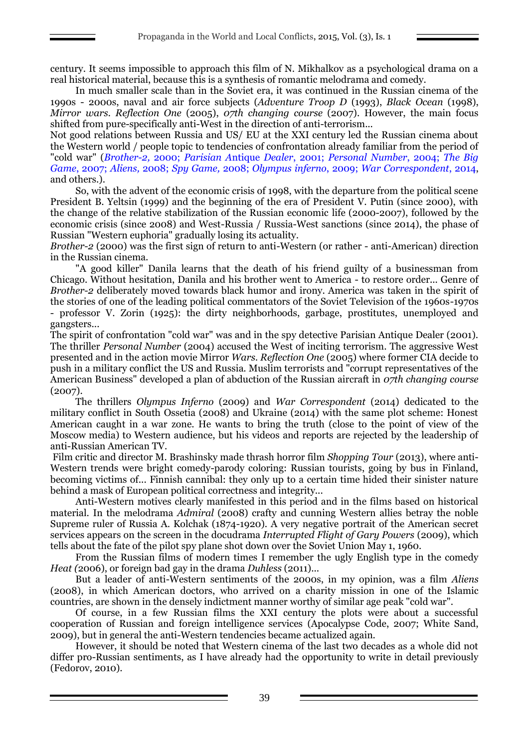century. It seems impossible to approach this film of N. Mikhalkov as a psychological drama on a real historical material, because this is a synthesis of romantic melodrama and comedy.

In much smaller scale than in the Soviet era, it was continued in the Russian cinema of the 1990s - 2000s, naval and air force subjects (*Adventure Troop D* (1993), *Black Ocean* (1998), *Mirror wars. Reflection One* (2005), *07th changing course* (2007). However, the main focus shifted from pure-specifically anti-West in the direction of anti-terrorism...

Not good relations between Russia and US/ EU at the XXI century led the Russian cinema about the Western world / people topic to tendencies of confrontation already familiar from the period of "cold war" (*Brother-2,* 2000; *Parisian A*ntique *Dealer*, 2001; *Personal Number*, 2004; *The Big Game*, 2007; *Aliens,* 2008; *Spy Game,* 2008; *Olympus inferno*, 2009; *War Correspondent*, 2014, and others.).

So, with the advent of the economic crisis of 1998, with the departure from the political scene President B. Yeltsin (1999) and the beginning of the era of President V. Putin (since 2000), with the change of the relative stabilization of the Russian economic life (2000-2007), followed by the economic crisis (since 2008) and West-Russia / Russia-West sanctions (since 2014), the phase of Russian "Western euphoria" gradually losing its actuality.

*Brother-2* (2000) was the first sign of return to anti-Western (or rather - anti-American) direction in the Russian cinema.

"A good killer" Danila learns that the death of his friend guilty of a businessman from Chicago. Without hesitation, Danila and his brother went to America - to restore order... Genre of *Brother-2* deliberately moved towards black humor and irony. America was taken in the spirit of the stories of one of the leading political commentators of the Soviet Television of the 1960s-1970s - professor V. Zorin (1925): the dirty neighborhoods, garbage, prostitutes, unemployed and gangsters...

The spirit of confrontation "cold war" was and in the spy detective Parisian Antique Dealer (2001). The thriller *Personal Number* (2004) accused the West of inciting terrorism. The aggressive West presented and in the action movie Mirror *Wars. Reflection One* (2005) where former CIA decide to push in a military conflict the US and Russia. Muslim terrorists and "corrupt representatives of the American Business" developed a plan of abduction of the Russian aircraft in *07th changing course* (2007).

The thrillers *Olympus Inferno* (2009) and *War Correspondent* (2014) dedicated to the military conflict in South Ossetia (2008) and Ukraine (2014) with the same plot scheme: Honest American caught in a war zone. He wants to bring the truth (close to the point of view of the Moscow media) to Western audience, but his videos and reports are rejected by the leadership of anti-Russian American TV.

Film critic and director M. Brashinsky made thrash horror film *Shopping Tour* (2013), where anti-Western trends were bright comedy-parody coloring: Russian tourists, going by bus in Finland, becoming victims of... Finnish cannibal: they only up to a certain time hided their sinister nature behind a mask of European political correctness and integrity...

Anti-Western motives clearly manifested in this period and in the films based on historical material. In the melodrama *Admiral* (2008) crafty and cunning Western allies betray the noble Supreme ruler of Russia A. Kolchak (1874-1920). A very negative portrait of the American secret services appears on the screen in the docudrama *Interrupted Flight of Gary Powers* (2009), which tells about the fate of the pilot spy plane shot down over the Soviet Union May 1, 1960.

From the Russian films of modern times I remember the ugly English type in the comedy *Heat (*2006), or foreign bad gay in the drama *Duhless* (2011)...

But a leader of anti-Western sentiments of the 2000s, in my opinion, was a film *Aliens*  (2008), in which American doctors, who arrived on a charity mission in one of the Islamic countries, are shown in the densely indictment manner worthy of similar age peak "cold war".

Of course, in a few Russian films the XXI century the plots were about a successful cooperation of Russian and foreign intelligence services (Apocalypse Code, 2007; White Sand, 2009), but in general the anti-Western tendencies became actualized again.

However, it should be noted that Western cinema of the last two decades as a whole did not differ pro-Russian sentiments, as I have already had the opportunity to write in detail previously (Fedorov, 2010).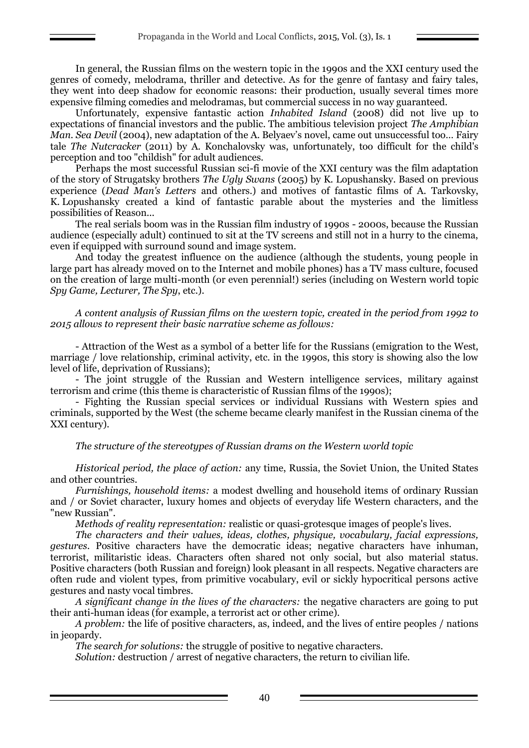In general, the Russian films on the western topic in the 1990s and the XXI century used the genres of comedy, melodrama, thriller and detective. As for the genre of fantasy and fairy tales, they went into deep shadow for economic reasons: their production, usually several times more expensive filming comedies and melodramas, but commercial success in no way guaranteed.

Unfortunately, expensive fantastic action *Inhabited Island* (2008) did not live up to expectations of financial investors and the public. The ambitious television project *The Amphibian Man. Sea Devil* (2004), new adaptation of the A. Belyaev's novel, came out unsuccessful too… Fairy tale *The Nutcracker* (2011) by A. Konchalovsky was, unfortunately, too difficult for the child's perception and too "childish" for adult audiences.

Perhaps the most successful Russian sci-fi movie of the XXI century was the film adaptation of the story of Strugatsky brothers *The Ugly Swans* (2005) by K. Lopushansky. Based on previous experience (*Dead Man's Letters* and others.) and motives of fantastic films of A. Tarkovsky, K. Lopushansky created a kind of fantastic parable about the mysteries and the limitless possibilities of Reason...

The real serials boom was in the Russian film industry of 1990s - 2000s, because the Russian audience (especially adult) continued to sit at the TV screens and still not in a hurry to the cinema, even if equipped with surround sound and image system.

And today the greatest influence on the audience (although the students, young people in large part has already moved on to the Internet and mobile phones) has a TV mass culture, focused on the creation of large multi-month (or even perennial!) series (including on Western world topic *Spy Game, Lecturer, The Spy*, etc.).

*A content analysis of Russian films on the western topic, created in the period from 1992 to 2015 allows to represent their basic narrative scheme as follows:*

- Attraction of the West as a symbol of a better life for the Russians (emigration to the West, marriage / love relationship, criminal activity, etc. in the 1990s, this story is showing also the low level of life, deprivation of Russians);

- The joint struggle of the Russian and Western intelligence services, military against terrorism and crime (this theme is characteristic of Russian films of the 1990s);

- Fighting the Russian special services or individual Russians with Western spies and criminals, supported by the West (the scheme became clearly manifest in the Russian cinema of the XXI century).

*The structure of the stereotypes of Russian drams on the Western world topic*

*Historical period, the place of action:* any time, Russia, the Soviet Union, the United States and other countries.

*Furnishings, household items:* a modest dwelling and household items of ordinary Russian and / or Soviet character, luxury homes and objects of everyday life Western characters, and the "new Russian".

*Methods of reality representation:* realistic or quasi-grotesque images of people's lives.

*The characters and their values, ideas, clothes, physique, vocabulary, facial expressions, gestures*. Positive characters have the democratic ideas; negative characters have inhuman, terrorist, militaristic ideas. Characters often shared not only social, but also material status. Positive characters (both Russian and foreign) look pleasant in all respects. Negative characters are often rude and violent types, from primitive vocabulary, evil or sickly hypocritical persons active gestures and nasty vocal timbres.

*A significant change in the lives of the characters:* the negative characters are going to put their anti-human ideas (for example, a terrorist act or other crime).

*A problem:* the life of positive characters, as, indeed, and the lives of entire peoples / nations in jeopardy.

*The search for solutions:* the struggle of positive to negative characters.

*Solution:* destruction / arrest of negative characters, the return to civilian life.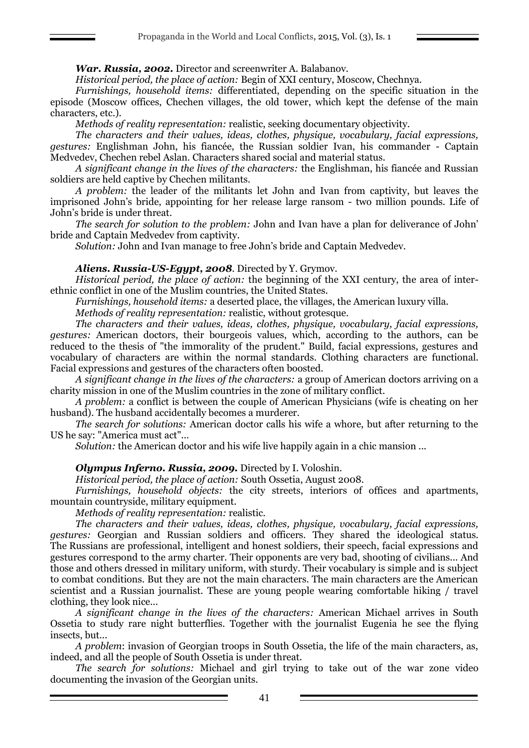# *War. Russia, 2002.* Director and screenwriter A. Balabanov.

*Historical period, the place of action:* Begin of XXI century, Moscow, Chechnya.

*Furnishings, household items:* differentiated, depending on the specific situation in the episode (Moscow offices, Chechen villages, the old tower, which kept the defense of the main characters, etc.).

*Methods of reality representation:* realistic, seeking documentary objectivity.

*The characters and their values, ideas, clothes, physique, vocabulary, facial expressions, gestures:* Englishman John, his fiancée, the Russian soldier Ivan, his commander - Captain Medvedev, Chechen rebel Aslan. Characters shared social and material status.

*A significant change in the lives of the characters:* the Englishman, his fiancée and Russian soldiers are held captive by Chechen militants.

*A problem:* the leader of the militants let John and Ivan from captivity, but leaves the imprisoned John's bride, appointing for her release large ransom - two million pounds. Life of John's bride is under threat.

*The search for solution to the problem:* John and Ivan have a plan for deliverance of John' bride and Captain Medvedev from captivity.

*Solution:* John and Ivan manage to free John's bride and Captain Medvedev.

### *Aliens. Russia-US-Egypt, 2008*. Directed by Y. Grymov.

*Historical period, the place of action:* the beginning of the XXI century, the area of interethnic conflict in one of the Muslim countries, the United States.

*Furnishings, household items:* a deserted place, the villages, the American luxury villa.

*Methods of reality representation:* realistic, without grotesque.

*The characters and their values, ideas, clothes, physique, vocabulary, facial expressions, gestures:* American doctors, their bourgeois values, which, according to the authors, can be reduced to the thesis of "the immorality of the prudent." Build, facial expressions, gestures and vocabulary of characters are within the normal standards. Clothing characters are functional. Facial expressions and gestures of the characters often boosted.

*A significant change in the lives of the characters:* a group of American doctors arriving on a charity mission in one of the Muslim countries in the zone of military conflict.

*A problem:* a conflict is between the couple of American Physicians (wife is cheating on her husband). The husband accidentally becomes a murderer.

*The search for solutions:* American doctor calls his wife a whore, but after returning to the US he say: "America must act"...

*Solution:* the American doctor and his wife live happily again in a chic mansion ...

# *Olympus Inferno. Russia, 2009.* Directed by I. Voloshin.

*Historical period, the place of action:* South Ossetia, August 2008.

*Furnishings, household objects:* the city streets, interiors of offices and apartments, mountain countryside, military equipment.

*Methods of reality representation:* realistic.

*The characters and their values, ideas, clothes, physique, vocabulary, facial expressions, gestures:* Georgian and Russian soldiers and officers. They shared the ideological status. The Russians are professional, intelligent and honest soldiers, their speech, facial expressions and gestures correspond to the army charter. Their opponents are very bad, shooting of civilians... And those and others dressed in military uniform, with sturdy. Their vocabulary is simple and is subject to combat conditions. But they are not the main characters. The main characters are the American scientist and a Russian journalist. These are young people wearing comfortable hiking / travel clothing, they look nice...

*A significant change in the lives of the characters:* American Michael arrives in South Ossetia to study rare night butterflies. Together with the journalist Eugenia he see the flying insects, but...

*A problem*: invasion of Georgian troops in South Ossetia, the life of the main characters, as, indeed, and all the people of South Ossetia is under threat.

*The search for solutions:* Michael and girl trying to take out of the war zone video documenting the invasion of the Georgian units.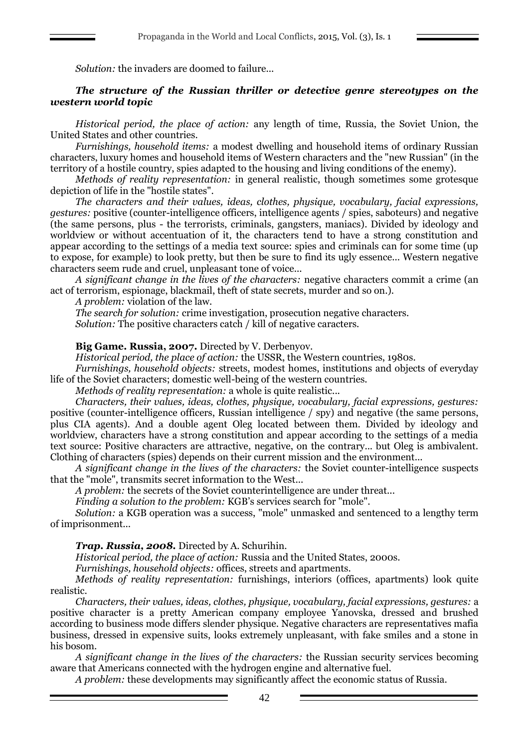*Solution:* the invaders are doomed to failure...

### *The structure of the Russian thriller or detective genre stereotypes on the western world topic*

*Historical period, the place of action:* any length of time, Russia, the Soviet Union, the United States and other countries.

*Furnishings, household items:* a modest dwelling and household items of ordinary Russian characters, luxury homes and household items of Western characters and the "new Russian" (in the territory of a hostile country, spies adapted to the housing and living conditions of the enemy).

*Methods of reality representation:* in general realistic, though sometimes some grotesque depiction of life in the "hostile states".

*The characters and their values, ideas, clothes, physique, vocabulary, facial expressions, gestures:* positive (counter-intelligence officers, intelligence agents / spies, saboteurs) and negative (the same persons, plus - the terrorists, criminals, gangsters, maniacs). Divided by ideology and worldview or without accentuation of it, the characters tend to have a strong constitution and appear according to the settings of a media text source: spies and criminals can for some time (up to expose, for example) to look pretty, but then be sure to find its ugly essence... Western negative characters seem rude and cruel, unpleasant tone of voice...

*A significant change in the lives of the characters:* negative characters commit a crime (an act of terrorism, espionage, blackmail, theft of state secrets, murder and so on.).

*A problem:* violation of the law.

*The search for solution:* crime investigation, prosecution negative characters.

*Solution:* The positive characters catch / kill of negative caracters.

#### **Big Game. Russia, 2007.** Directed by V. Derbenyov.

*Historical period, the place of action:* the USSR, the Western countries, 1980s.

*Furnishings, household objects:* streets, modest homes, institutions and objects of everyday life of the Soviet characters; domestic well-being of the western countries.

*Methods of reality representation:* a whole is quite realistic...

*Characters, their values, ideas, clothes, physique, vocabulary, facial expressions, gestures:* positive (counter-intelligence officers, Russian intelligence / spy) and negative (the same persons, plus CIA agents). And a double agent Oleg located between them. Divided by ideology and worldview, characters have a strong constitution and appear according to the settings of a media text source: Positive characters are attractive, negative, on the contrary... but Oleg is ambivalent. Clothing of characters (spies) depends on their current mission and the environment...

*A significant change in the lives of the characters:* the Soviet counter-intelligence suspects that the "mole", transmits secret information to the West...

*A problem:* the secrets of the Soviet counterintelligence are under threat...

*Finding a solution to the problem:* KGB's services search for "mole".

*Solution:* a KGB operation was a success, "mole" unmasked and sentenced to a lengthy term of imprisonment...

#### *Trap. Russia, 2008.* Directed by A. Schurihin.

*Historical period, the place of action:* Russia and the United States, 2000s.

*Furnishings, household objects:* offices, streets and apartments.

*Methods of reality representation:* furnishings, interiors (offices, apartments) look quite realistic.

*Characters, their values, ideas, clothes, physique, vocabulary, facial expressions, gestures:* a positive character is a pretty American company employee Yanovska, dressed and brushed according to business mode differs slender physique. Negative characters are representatives mafia business, dressed in expensive suits, looks extremely unpleasant, with fake smiles and a stone in his bosom.

*A significant change in the lives of the characters:* the Russian security services becoming aware that Americans connected with the hydrogen engine and alternative fuel.

*A problem:* these developments may significantly affect the economic status of Russia.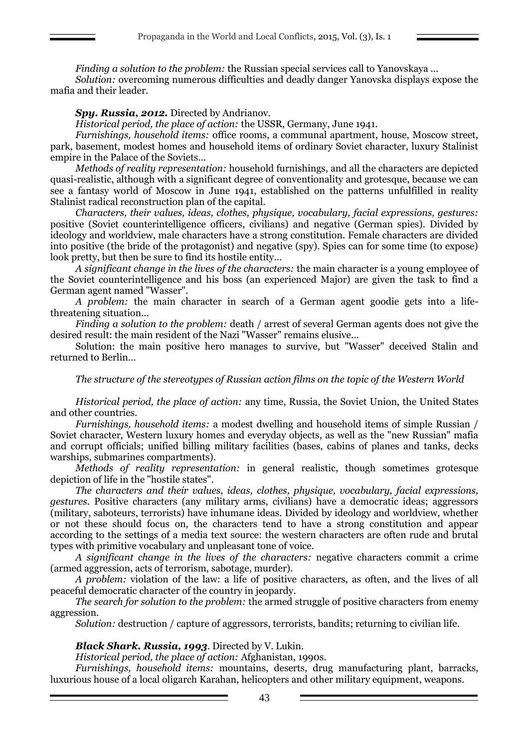*Finding a solution to the problem:* the Russian special services call to Yanovskaya ...

*Solution:* overcoming numerous difficulties and deadly danger Yanovska displays expose the mafia and their leader.

### *Spy. Russia, 2012.* Directed by Andrianov.

*Historical period, the place of action:* the USSR, Germany, June 1941.

*Furnishings, household items:* office rooms, a communal apartment, house, Moscow street, park, basement, modest homes and household items of ordinary Soviet character, luxury Stalinist empire in the Palace of the Soviets...

*Methods of reality representation:* household furnishings, and all the characters are depicted quasi-realistic, although with a significant degree of conventionality and grotesque, because we can see a fantasy world of Moscow in June 1941, established on the patterns unfulfilled in reality Stalinist radical reconstruction plan of the capital.

*Characters, their values, ideas, clothes, physique, vocabulary, facial expressions, gestures:* positive (Soviet counterintelligence officers, civilians) and negative (German spies). Divided by ideology and worldview, male characters have a strong constitution. Female characters are divided into positive (the bride of the protagonist) and negative (spy). Spies can for some time (to expose) look pretty, but then be sure to find its hostile entity...

*A significant change in the lives of the characters:* the main character is a young employee of the Soviet counterintelligence and his boss (an experienced Major) are given the task to find a German agent named "Wasser".

*A problem:* the main character in search of a German agent goodie gets into a lifethreatening situation...

*Finding a solution to the problem:* death / arrest of several German agents does not give the desired result: the main resident of the Nazi "Wasser" remains elusive...

Solution: the main positive hero manages to survive, but "Wasser" deceived Stalin and returned to Berlin…

# *The structure of the stereotypes of Russian action films on the topic of the Western World*

*Historical period, the place of action:* any time, Russia, the Soviet Union, the United States and other countries.

*Furnishings, household items:* a modest dwelling and household items of simple Russian / Soviet character, Western luxury homes and everyday objects, as well as the "new Russian" mafia and corrupt officials; unified billing military facilities (bases, cabins of planes and tanks, decks warships, submarines compartments).

*Methods of reality representation:* in general realistic, though sometimes grotesque depiction of life in the "hostile states".

*The characters and their values, ideas, clothes, physique, vocabulary, facial expressions, gestures.* Positive characters (any military arms, civilians) have a democratic ideas; aggressors (military, saboteurs, terrorists) have inhumane ideas. Divided by ideology and worldview, whether or not these should focus on, the characters tend to have a strong constitution and appear according to the settings of a media text source: the western characters are often rude and brutal types with primitive vocabulary and unpleasant tone of voice.

*A significant change in the lives of the characters:* negative characters commit a crime (armed aggression, acts of terrorism, sabotage, murder).

*A problem:* violation of the law: a life of positive characters, as often, and the lives of all peaceful democratic character of the country in jeopardy.

*The search for solution to the problem:* the armed struggle of positive characters from enemy aggression.

*Solution:* destruction / capture of aggressors, terrorists, bandits; returning to civilian life.

# *Black Shark. Russia, 1993*. Directed by V. Lukin.

*Historical period, the place of action:* Afghanistan, 1990s.

*Furnishings, household items:* mountains, deserts, drug manufacturing plant, barracks, luxurious house of a local oligarch Karahan, helicopters and other military equipment, weapons.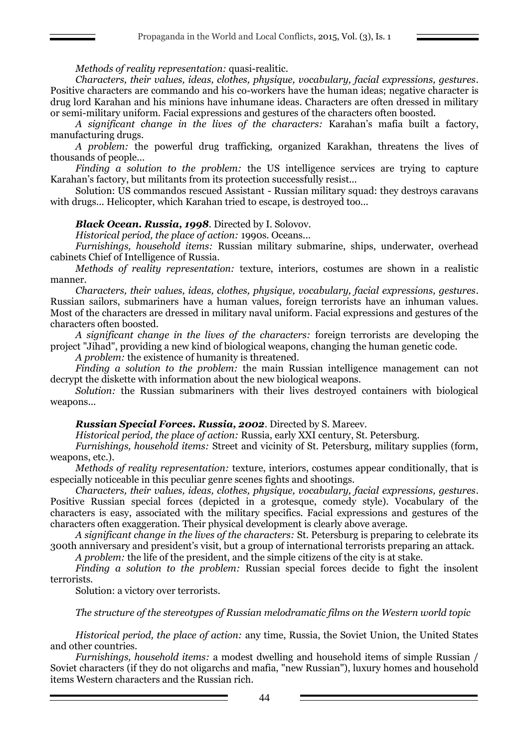### *Methods of reality representation:* quasi-realitic.

*Characters, their values, ideas, clothes, physique, vocabulary, facial expressions, gestures*. Positive characters are commando and his co-workers have the human ideas; negative character is drug lord Karahan and his minions have inhumane ideas. Characters are often dressed in military or semi-military uniform. Facial expressions and gestures of the characters often boosted.

*A significant change in the lives of the characters:* Karahan's mafia built a factory, manufacturing drugs.

*A problem:* the powerful drug trafficking, organized Karakhan, threatens the lives of thousands of people...

*Finding a solution to the problem:* the US intelligence services are trying to capture Karahan's factory, but militants from its protection successfully resist...

Solution: US commandos rescued Assistant - Russian military squad: they destroys caravans with drugs... Helicopter, which Karahan tried to escape, is destroyed too...

#### *Black Ocean. Russia, 1998.* Directed by I. Solovov.

*Historical period, the place of action:* 1990s. Oceans...

*Furnishings, household items:* Russian military submarine, ships, underwater, overhead cabinets Chief of Intelligence of Russia.

*Methods of reality representation:* texture, interiors, costumes are shown in a realistic manner.

*Characters, their values, ideas, clothes, physique, vocabulary, facial expressions, gestures*. Russian sailors, submariners have a human values, foreign terrorists have an inhuman values. Most of the characters are dressed in military naval uniform. Facial expressions and gestures of the characters often boosted.

*A significant change in the lives of the characters:* foreign terrorists are developing the project "Jihad", providing a new kind of biological weapons, changing the human genetic code.

*A problem:* the existence of humanity is threatened.

*Finding a solution to the problem:* the main Russian intelligence management can not decrypt the diskette with information about the new biological weapons.

*Solution:* the Russian submariners with their lives destroyed containers with biological weapons...

#### *Russian Special Forces. Russia, 2002*. Directed by S. Mareev.

*Historical period, the place of action:* Russia, early XXI century, St. Petersburg.

*Furnishings, household items:* Street and vicinity of St. Petersburg, military supplies (form, weapons, etc.).

*Methods of reality representation:* texture, interiors, costumes appear conditionally, that is especially noticeable in this peculiar genre scenes fights and shootings.

*Characters, their values, ideas, clothes, physique, vocabulary, facial expressions, gestures*. Positive Russian special forces (depicted in a grotesque, comedy style). Vocabulary of the characters is easy, associated with the military specifics. Facial expressions and gestures of the characters often exaggeration. Their physical development is clearly above average.

*A significant change in the lives of the characters:* St. Petersburg is preparing to celebrate its 300th anniversary and president's visit, but a group of international terrorists preparing an attack.

*A problem:* the life of the president, and the simple citizens of the city is at stake.

*Finding a solution to the problem:* Russian special forces decide to fight the insolent terrorists.

Solution: a victory over terrorists.

*The structure of the stereotypes of Russian melodramatic films on the Western world topic*

*Historical period, the place of action:* any time, Russia, the Soviet Union, the United States and other countries.

*Furnishings, household items:* a modest dwelling and household items of simple Russian / Soviet characters (if they do not oligarchs and mafia, "new Russian"), luxury homes and household items Western characters and the Russian rich.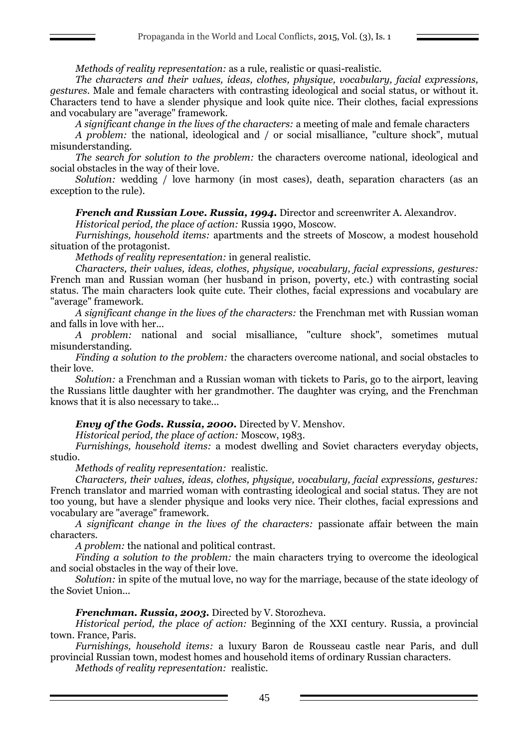*Methods of reality representation:* as a rule, realistic or quasi-realistic.

*The characters and their values, ideas, clothes, physique, vocabulary, facial expressions, gestures*. Male and female characters with contrasting ideological and social status, or without it. Characters tend to have a slender physique and look quite nice. Their clothes, facial expressions and vocabulary are "average" framework.

*A significant change in the lives of the characters:* a meeting of male and female characters

*A problem:* the national, ideological and / or social misalliance, "culture shock", mutual misunderstanding.

*The search for solution to the problem:* the characters overcome national, ideological and social obstacles in the way of their love.

*Solution:* wedding / love harmony (in most cases), death, separation characters (as an exception to the rule).

*French and Russian Love. Russia, 1994.* Director and screenwriter A. Alexandrov.

*Historical period, the place of action:* Russia 1990, Moscow.

*Furnishings, household items:* apartments and the streets of Moscow, a modest household situation of the protagonist.

*Methods of reality representation:* in general realistic.

*Characters, their values, ideas, clothes, physique, vocabulary, facial expressions, gestures:* French man and Russian woman (her husband in prison, poverty, etc.) with contrasting social status. The main characters look quite cute. Their clothes, facial expressions and vocabulary are "average" framework.

*A significant change in the lives of the characters:* the Frenchman met with Russian woman and falls in love with her...

*A problem:* national and social misalliance, "culture shock", sometimes mutual misunderstanding.

*Finding a solution to the problem:* the characters overcome national, and social obstacles to their love.

*Solution:* a Frenchman and a Russian woman with tickets to Paris, go to the airport, leaving the Russians little daughter with her grandmother. The daughter was crying, and the Frenchman knows that it is also necessary to take...

# *Envy of the Gods. Russia, 2000.* Directed by V. Menshov.

*Historical period, the place of action:* Moscow, 1983.

*Furnishings, household items:* a modest dwelling and Soviet characters everyday objects, studio.

*Methods of reality representation:* realistic.

*Characters, their values, ideas, clothes, physique, vocabulary, facial expressions, gestures:* French translator and married woman with contrasting ideological and social status. They are not too young, but have a slender physique and looks very nice. Their clothes, facial expressions and vocabulary are "average" framework.

*A significant change in the lives of the characters:* passionate affair between the main characters.

*A problem:* the national and political contrast.

*Finding a solution to the problem:* the main characters trying to overcome the ideological and social obstacles in the way of their love.

*Solution:* in spite of the mutual love, no way for the marriage, because of the state ideology of the Soviet Union...

# *Frenchman. Russia, 2003.* Directed by V. Storozheva.

*Historical period, the place of action:* Beginning of the XXI century. Russia, a provincial town. France, Paris.

*Furnishings, household items:* a luxury Baron de Rousseau castle near Paris, and dull provincial Russian town, modest homes and household items of ordinary Russian characters.

*Methods of reality representation:* realistic.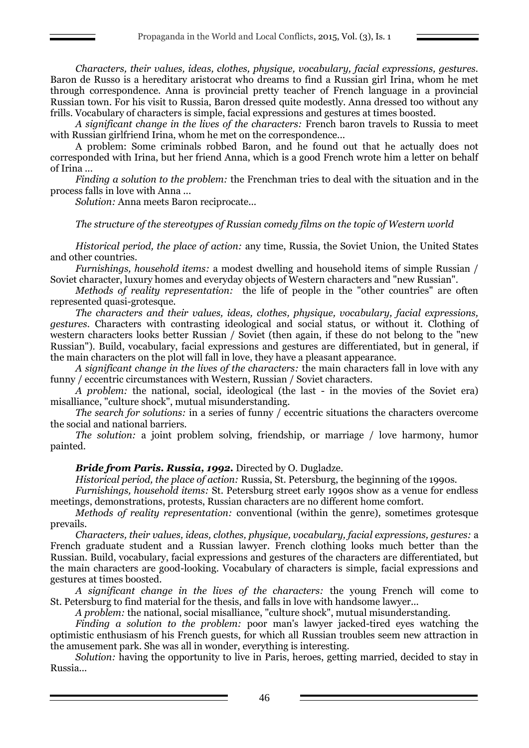*Characters, their values, ideas, clothes, physique, vocabulary, facial expressions, gestures.* Baron de Russo is a hereditary aristocrat who dreams to find a Russian girl Irina, whom he met through correspondence. Anna is provincial pretty teacher of French language in a provincial Russian town. For his visit to Russia, Baron dressed quite modestly. Anna dressed too without any frills. Vocabulary of characters is simple, facial expressions and gestures at times boosted.

*A significant change in the lives of the characters:* French baron travels to Russia to meet with Russian girlfriend Irina, whom he met on the correspondence...

A problem: Some criminals robbed Baron, and he found out that he actually does not corresponded with Irina, but her friend Anna, which is a good French wrote him a letter on behalf of Irina ...

*Finding a solution to the problem:* the Frenchman tries to deal with the situation and in the process falls in love with Anna ...

*Solution:* Anna meets Baron reciprocate...

#### *The structure of the stereotypes of Russian comedy films on the topic of Western world*

*Historical period, the place of action:* any time, Russia, the Soviet Union, the United States and other countries.

*Furnishings, household items:* a modest dwelling and household items of simple Russian / Soviet character, luxury homes and everyday objects of Western characters and "new Russian".

*Methods of reality representation:* the life of people in the "other countries" are often represented quasi-grotesque.

*The characters and their values, ideas, clothes, physique, vocabulary, facial expressions, gestures*. Characters with contrasting ideological and social status, or without it. Clothing of western characters looks better Russian / Soviet (then again, if these do not belong to the "new Russian"). Build, vocabulary, facial expressions and gestures are differentiated, but in general, if the main characters on the plot will fall in love, they have a pleasant appearance.

*A significant change in the lives of the characters:* the main characters fall in love with any funny / eccentric circumstances with Western, Russian / Soviet characters.

*A problem:* the national, social, ideological (the last - in the movies of the Soviet era) misalliance, "culture shock", mutual misunderstanding.

*The search for solutions:* in a series of funny / eccentric situations the characters overcome the social and national barriers.

*The solution:* a joint problem solving, friendship, or marriage / love harmony, humor painted.

#### *Bride from Paris. Russia, 1992.* Directed by O. Dugladze.

*Historical period, the place of action:* Russia, St. Petersburg, the beginning of the 1990s.

*Furnishings, household items:* St. Petersburg street early 1990s show as a venue for endless meetings, demonstrations, protests, Russian characters are no different home comfort.

*Methods of reality representation:* conventional (within the genre), sometimes grotesque prevails.

*Characters, their values, ideas, clothes, physique, vocabulary, facial expressions, gestures:* a French graduate student and a Russian lawyer. French clothing looks much better than the Russian. Build, vocabulary, facial expressions and gestures of the characters are differentiated, but the main characters are good-looking. Vocabulary of characters is simple, facial expressions and gestures at times boosted.

*A significant change in the lives of the characters:* the young French will come to St. Petersburg to find material for the thesis, and falls in love with handsome lawyer...

*A problem:* the national, social misalliance, "culture shock", mutual misunderstanding.

*Finding a solution to the problem:* poor man's lawyer jacked-tired eyes watching the optimistic enthusiasm of his French guests, for which all Russian troubles seem new attraction in the amusement park. She was all in wonder, everything is interesting.

*Solution:* having the opportunity to live in Paris, heroes, getting married, decided to stay in Russia...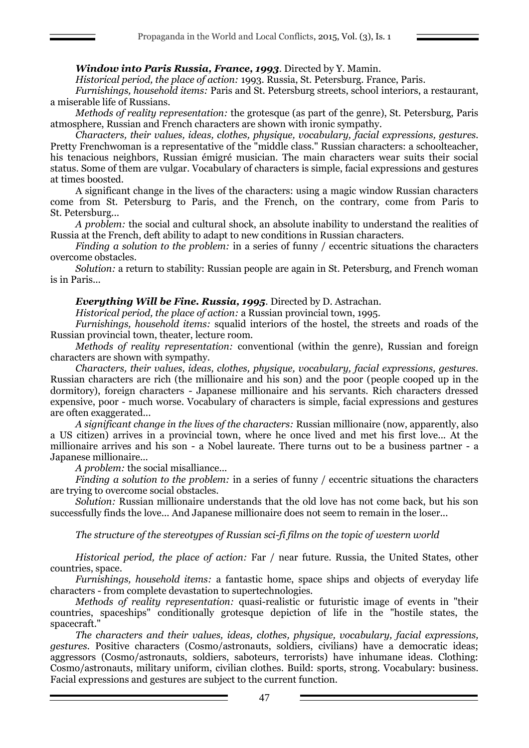### *Window into Paris Russia, France, 1993*. Directed by Y. Mamin.

*Historical period, the place of action:* 1993. Russia, St. Petersburg. France, Paris.

*Furnishings, household items:* Paris and St. Petersburg streets, school interiors, a restaurant, a miserable life of Russians.

*Methods of reality representation:* the grotesque (as part of the genre), St. Petersburg, Paris atmosphere, Russian and French characters are shown with ironic sympathy.

*Characters, their values, ideas, clothes, physique, vocabulary, facial expressions, gestures.* Pretty Frenchwoman is a representative of the "middle class." Russian characters: a schoolteacher, his tenacious neighbors, Russian émigré musician. The main characters wear suits their social status. Some of them are vulgar. Vocabulary of characters is simple, facial expressions and gestures at times boosted.

A significant change in the lives of the characters: using a magic window Russian characters come from St. Petersburg to Paris, and the French, on the contrary, come from Paris to St. Petersburg...

*A problem:* the social and cultural shock, an absolute inability to understand the realities of Russia at the French, deft ability to adapt to new conditions in Russian characters.

*Finding a solution to the problem:* in a series of funny / eccentric situations the characters overcome obstacles.

*Solution:* a return to stability: Russian people are again in St. Petersburg, and French woman is in Paris...

#### *Everything Will be Fine. Russia, 1995*. Directed by D. Astrachan.

*Historical period, the place of action:* a Russian provincial town, 1995.

*Furnishings, household items:* squalid interiors of the hostel, the streets and roads of the Russian provincial town, theater, lecture room.

*Methods of reality representation:* conventional (within the genre), Russian and foreign characters are shown with sympathy.

*Characters, their values, ideas, clothes, physique, vocabulary, facial expressions, gestures.* Russian characters are rich (the millionaire and his son) and the poor (people cooped up in the dormitory), foreign characters - Japanese millionaire and his servants. Rich characters dressed expensive, poor - much worse. Vocabulary of characters is simple, facial expressions and gestures are often exaggerated...

*A significant change in the lives of the characters:* Russian millionaire (now, apparently, also a US citizen) arrives in a provincial town, where he once lived and met his first love... At the millionaire arrives and his son - a Nobel laureate. There turns out to be a business partner - a Japanese millionaire...

*A problem:* the social misalliance...

*Finding a solution to the problem:* in a series of funny / eccentric situations the characters are trying to overcome social obstacles.

*Solution:* Russian millionaire understands that the old love has not come back, but his son successfully finds the love... And Japanese millionaire does not seem to remain in the loser...

*The structure of the stereotypes of Russian sci-fi films on the topic of western world*

*Historical period, the place of action:* Far / near future. Russia, the United States, other countries, space.

*Furnishings, household items:* a fantastic home, space ships and objects of everyday life characters - from complete devastation to supertechnologies.

*Methods of reality representation:* quasi-realistic or futuristic image of events in "their countries, spaceships" conditionally grotesque depiction of life in the "hostile states, the spacecraft."

*The characters and their values, ideas, clothes, physique, vocabulary, facial expressions, gestures.* Positive characters (Cosmo/astronauts, soldiers, civilians) have a democratic ideas; aggressors (Cosmo/astronauts, soldiers, saboteurs, terrorists) have inhumane ideas. Clothing: Cosmo/astronauts, military uniform, civilian clothes. Build: sports, strong. Vocabulary: business. Facial expressions and gestures are subject to the current function.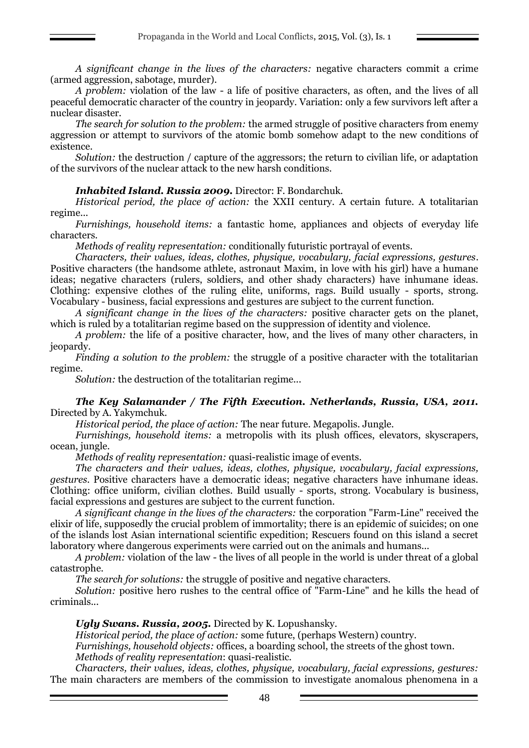*A significant change in the lives of the characters:* negative characters commit a crime (armed aggression, sabotage, murder).

*A problem:* violation of the law - a life of positive characters, as often, and the lives of all peaceful democratic character of the country in jeopardy. Variation: only a few survivors left after a nuclear disaster.

*The search for solution to the problem:* the armed struggle of positive characters from enemy aggression or attempt to survivors of the atomic bomb somehow adapt to the new conditions of existence.

*Solution:* the destruction / capture of the aggressors; the return to civilian life, or adaptation of the survivors of the nuclear attack to the new harsh conditions.

### *Inhabited Island. Russia 2009.* Director: F. Bondarchuk.

*Historical period, the place of action:* the XXII century. A certain future. A totalitarian regime...

*Furnishings, household items:* a fantastic home, appliances and objects of everyday life characters.

*Methods of reality representation:* conditionally futuristic portrayal of events.

*Characters, their values, ideas, clothes, physique, vocabulary, facial expressions, gestures*. Positive characters (the handsome athlete, astronaut Maxim, in love with his girl) have a humane ideas; negative characters (rulers, soldiers, and other shady characters) have inhumane ideas. Clothing: expensive clothes of the ruling elite, uniforms, rags. Build usually - sports, strong. Vocabulary - business, facial expressions and gestures are subject to the current function.

*A significant change in the lives of the characters:* positive character gets on the planet, which is ruled by a totalitarian regime based on the suppression of identity and violence.

*A problem:* the life of a positive character, how, and the lives of many other characters, in jeopardy.

*Finding a solution to the problem:* the struggle of a positive character with the totalitarian regime.

*Solution:* the destruction of the totalitarian regime...

#### *The Key Salamander / The Fifth Execution. Netherlands, Russia, USA, 2011.* Directed by A. Yakymchuk.

*Historical period, the place of action:* The near future. Megapolis. Jungle.

*Furnishings, household items:* a metropolis with its plush offices, elevators, skyscrapers, ocean, jungle.

*Methods of reality representation:* quasi-realistic image of events.

*The characters and their values, ideas, clothes, physique, vocabulary, facial expressions, gestures.* Positive characters have a democratic ideas; negative characters have inhumane ideas. Clothing: office uniform, civilian clothes. Build usually - sports, strong. Vocabulary is business, facial expressions and gestures are subject to the current function.

*A significant change in the lives of the characters:* the corporation "Farm-Line" received the elixir of life, supposedly the crucial problem of immortality; there is an epidemic of suicides; on one of the islands lost Asian international scientific expedition; Rescuers found on this island a secret laboratory where dangerous experiments were carried out on the animals and humans...

*A problem:* violation of the law - the lives of all people in the world is under threat of a global catastrophe.

*The search for solutions:* the struggle of positive and negative characters.

*Solution:* positive hero rushes to the central office of "Farm-Line" and he kills the head of criminals...

#### *Ugly Swans. Russia, 2005.* Directed by K. Lopushansky.

*Historical period, the place of action:* some future, (perhaps Western) country.

*Furnishings, household objects:* offices, a boarding school, the streets of the ghost town.

*Methods of reality representation*: quasi-realistic.

*Characters, their values, ideas, clothes, physique, vocabulary, facial expressions, gestures:* The main characters are members of the commission to investigate anomalous phenomena in a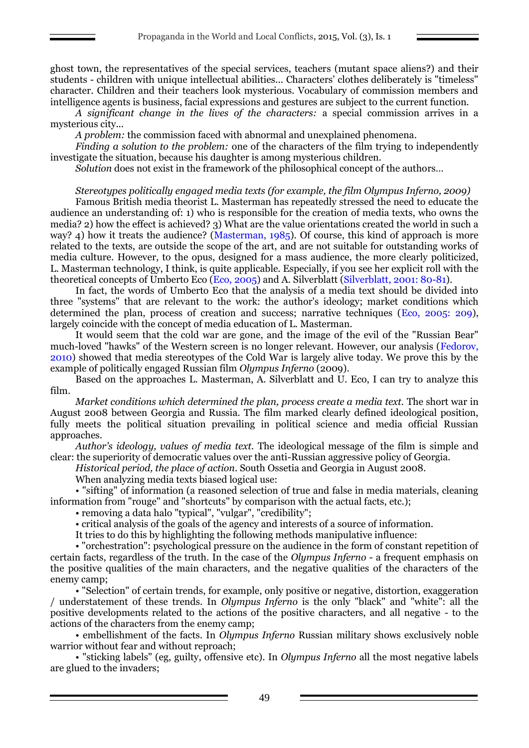ghost town, the representatives of the special services, teachers (mutant space aliens?) and their students - children with unique intellectual abilities... Characters' clothes deliberately is "timeless" character. Children and their teachers look mysterious. Vocabulary of commission members and intelligence agents is business, facial expressions and gestures are subject to the current function.

*A significant change in the lives of the characters:* a special commission arrives in a mysterious city...

*A problem:* the commission faced with abnormal and unexplained phenomena.

*Finding a solution to the problem:* one of the characters of the film trying to independently investigate the situation, because his daughter is among mysterious children.

*Solution* does not exist in the framework of the philosophical concept of the authors...

#### *Stereotypes politically engaged media texts (for example, the film Olympus Inferno, 2009)*

Famous British media theorist L. Masterman has repeatedly stressed the need to educate the audience an understanding of: 1) who is responsible for the creation of media texts, who owns the media? 2) how the effect is achieved? 3) What are the value orientations created the world in such a way? 4) how it treats the audience? (Masterman, 1985). Of course, this kind of approach is more related to the texts, are outside the scope of the art, and are not suitable for outstanding works of media culture. However, to the opus, designed for a mass audience, the more clearly politicized, L. Masterman technology, I think, is quite applicable. Especially, if you see her explicit roll with the theoretical concepts of Umberto Eco (Eco, 2005) and A. Silverblatt (Silverblatt, 2001: 80-81).

In fact, the words of Umberto Eco that the analysis of a media text should be divided into three "systems" that are relevant to the work: the author's ideology; market conditions which determined the plan, process of creation and success; narrative techniques (Eco, 2005: 209), largely coincide with the concept of media education of L. Masterman.

It would seem that the cold war are gone, and the image of the evil of the "Russian Bear" much-loved "hawks" of the Western screen is no longer relevant. However, our analysis (Fedorov, 2010) showed that media stereotypes of the Cold War is largely alive today. We prove this by the example of politically engaged Russian film *Olympus Inferno* (2009).

Based on the approaches L. Masterman, A. Silverblatt and U. Eco, I can try to analyze this film.

*Market conditions which determined the plan, process create a media text.* The short war in August 2008 between Georgia and Russia. The film marked clearly defined ideological position, fully meets the political situation prevailing in political science and media official Russian approaches.

*Author's ideology, values of media text.* The ideological message of the film is simple and clear: the superiority of democratic values over the anti-Russian aggressive policy of Georgia.

*Historical period, the place of action*. South Ossetia and Georgia in August 2008.

When analyzing media texts biased logical use:

• "sifting" of information (a reasoned selection of true and false in media materials, cleaning information from "rouge" and "shortcuts" by comparison with the actual facts, etc.);

• removing a data halo "typical", "vulgar", "credibility";

• critical analysis of the goals of the agency and interests of a source of information.

It tries to do this by highlighting the following methods manipulative influence:

• "orchestration": psychological pressure on the audience in the form of constant repetition of certain facts, regardless of the truth. In the case of the *Olympus Inferno* - a frequent emphasis on the positive qualities of the main characters, and the negative qualities of the characters of the enemy camp;

• "Selection" of certain trends, for example, only positive or negative, distortion, exaggeration / understatement of these trends. In *Olympus Inferno* is the only "black" and "white": all the positive developments related to the actions of the positive characters, and all negative - to the actions of the characters from the enemy camp;

• embellishment of the facts. In *Olympus Inferno* Russian military shows exclusively noble warrior without fear and without reproach;

• "sticking labels" (eg, guilty, offensive etc). In *Olympus Inferno* all the most negative labels are glued to the invaders;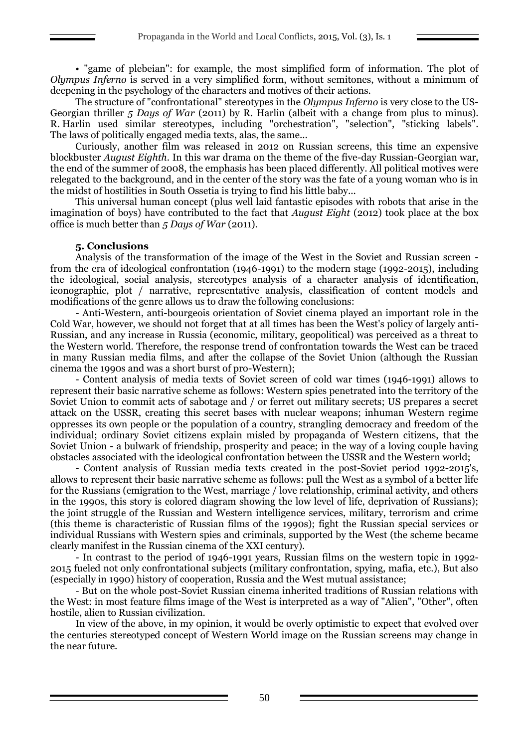• "game of plebeian": for example, the most simplified form of information. The plot of *Olympus Inferno* is served in a very simplified form, without semitones, without a minimum of deepening in the psychology of the characters and motives of their actions.

The structure of "confrontational" stereotypes in the *Olympus Inferno* is very close to the US-Georgian thriller *5 Days of War* (2011) by R. Harlin (albeit with a change from plus to minus). R. Harlin used similar stereotypes, including "orchestration", "selection", "sticking labels". The laws of politically engaged media texts, alas, the same...

Curiously, another film was released in 2012 on Russian screens, this time an expensive blockbuster *August Eighth*. In this war drama on the theme of the five-day Russian-Georgian war, the end of the summer of 2008, the emphasis has been placed differently. All political motives were relegated to the background, and in the center of the story was the fate of a young woman who is in the midst of hostilities in South Ossetia is trying to find his little baby...

This universal human concept (plus well laid fantastic episodes with robots that arise in the imagination of boys) have contributed to the fact that *August Eight* (2012) took place at the box office is much better than *5 Days of War* (2011).

#### **5. Conclusions**

Analysis of the transformation of the image of the West in the Soviet and Russian screen from the era of ideological confrontation (1946-1991) to the modern stage (1992-2015), including the ideological, social analysis, stereotypes analysis of a character analysis of identification, iconographic, plot / narrative, representative analysis, classification of content models and modifications of the genre allows us to draw the following conclusions:

- Anti-Western, anti-bourgeois orientation of Soviet cinema played an important role in the Cold War, however, we should not forget that at all times has been the West's policy of largely anti-Russian, and any increase in Russia (economic, military, geopolitical) was perceived as a threat to the Western world. Therefore, the response trend of confrontation towards the West can be traced in many Russian media films, and after the collapse of the Soviet Union (although the Russian cinema the 1990s and was a short burst of pro-Western);

- Content analysis of media texts of Soviet screen of cold war times (1946-1991) allows to represent their basic narrative scheme as follows: Western spies penetrated into the territory of the Soviet Union to commit acts of sabotage and / or ferret out military secrets; US prepares a secret attack on the USSR, creating this secret bases with nuclear weapons; inhuman Western regime oppresses its own people or the population of a country, strangling democracy and freedom of the individual; ordinary Soviet citizens explain misled by propaganda of Western citizens, that the Soviet Union - a bulwark of friendship, prosperity and peace; in the way of a loving couple having obstacles associated with the ideological confrontation between the USSR and the Western world;

- Content analysis of Russian media texts created in the post-Soviet period 1992-2015's, allows to represent their basic narrative scheme as follows: pull the West as a symbol of a better life for the Russians (emigration to the West, marriage / love relationship, criminal activity, and others in the 1990s, this story is colored diagram showing the low level of life, deprivation of Russians); the joint struggle of the Russian and Western intelligence services, military, terrorism and crime (this theme is characteristic of Russian films of the 1990s); fight the Russian special services or individual Russians with Western spies and criminals, supported by the West (the scheme became clearly manifest in the Russian cinema of the XXI century).

- In contrast to the period of 1946-1991 years, Russian films on the western topic in 1992- 2015 fueled not only confrontational subjects (military confrontation, spying, mafia, etc.), But also (especially in 1990) history of cooperation, Russia and the West mutual assistance;

- But on the whole post-Soviet Russian cinema inherited traditions of Russian relations with the West: in most feature films image of the West is interpreted as a way of "Alien", "Other", often hostile, alien to Russian civilization.

In view of the above, in my opinion, it would be overly optimistic to expect that evolved over the centuries stereotyped concept of Western World image on the Russian screens may change in the near future.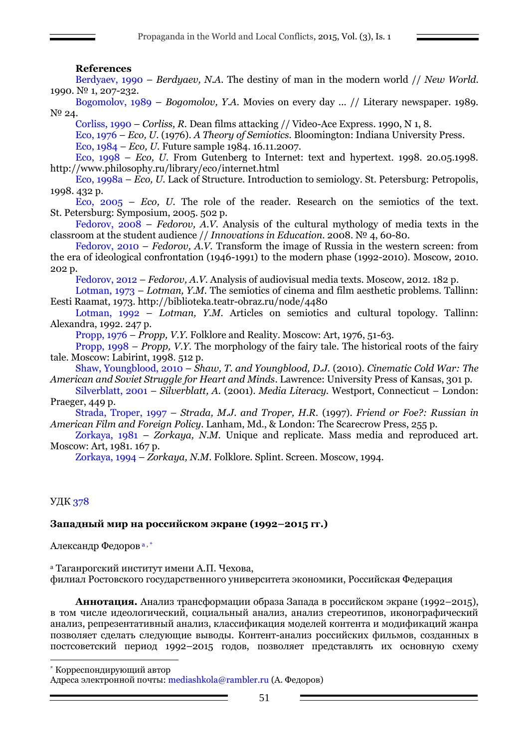### **References**

Berdyaev, 1990 – *Berdyaev, N.A.* The destiny of man in the modern world // *New World*. 1990. № 1, 207-232.

Bogomolov, 1989 – *Bogomolov, Y.A.* Movies on every day ... // Literary newspaper. 1989. N<sup>o</sup> 24.

Corliss, 1990 – *Corliss, R.* Dean films attacking // Video-Ace Express. 1990, N 1, 8.

Eco, 1976 – *Eco, U.* (1976). *A Theory of Semiotics.* Bloomington: Indiana University Press. Eco, 1984 – *Eco, U.* Future sample 1984. 16.11.2007.

Eco, 1998 – *Eco, U.* From Gutenberg to Internet: text and hypertext. 1998. 20.05.1998. http://www.philosophy.ru/library/eco/internet.html

Eco, 1998а – *Eco, U.* Lack of Structure. Introduction to semiology. St. Petersburg: Petropolis, 1998. 432 p.

Eco, 2005 – *Eco, U.* The role of the reader. Research on the semiotics of the text. St. Petersburg: Symposium, 2005. 502 p.

Fedorov, 2008 – *Fedorov, A.V.* Analysis of the cultural mythology of media texts in the classroom at the student audience // *Innovations in Education*. 2008. № 4, 60-80.

Fedorov, 2010 – *Fedorov, A.V.* Transform the image of Russia in the western screen: from the era of ideological confrontation (1946-1991) to the modern phase (1992-2010). Moscow, 2010. 202 p.

Fedorov, 2012 – *Fedorov, A.V.* Analysis of audiovisual media texts. Moscow, 2012. 182 p.

Lotman, 1973 – *Lotman, Y.M.* The semiotics of cinema and film aesthetic problems. Tallinn: Eesti Raamat, 1973. http://biblioteka.teatr-obraz.ru/node/4480

Lotman, 1992 – *Lotman, Y.M.* Articles on semiotics and cultural topology. Tallinn: Alexandra, 1992. 247 p.

Propp, 1976 – *Propp, V.Y.* Folklore and Reality. Moscow: Art, 1976, 51-63.

Propp, 1998 – *Propp, V.Y.* The morphology of the fairy tale. The historical roots of the fairy tale. Moscow: Labirint, 1998. 512 p.

Shaw, Youngblood, 2010 – *Shaw, T. and Youngblood, D.J.* (2010). *Cinematic Cold War: The American and Soviet Struggle for Heart and Minds*. Lawrence: University Press of Kansas, 301 p.

Silverblatt, 2001 – *Silverblatt, A.* (2001). *Media Literacy.* Westport, Connecticut – London: Praeger, 449 p.

Strada, Troper, 1997 – *Strada, M.J. and Troper, H.R.* (1997). *Friend or Foe?: Russian in American Film and Foreign Policy.* Lanham, Md., & London: The Scarecrow Press, 255 p.

Zorkaya, 1981 – *Zorkaya, N.M.* Unique and replicate. Mass media and reproduced art. Moscow: Art, 1981. 167 p.

Zorkaya, 1994 – *Zorkaya, N.M.* Folklore. Splint. Screen. Moscow, 1994.

# УДК 378

1

#### **Западный мир на российском экране (1992–2015 гг.)**

Александр Федоров <sup>a</sup> , \*

<sup>a</sup> Таганрогский институт имени А.П. Чехова,

филиал Ростовского государственного университета экономики, Российская Федерация

**Аннотация.** Анализ трансформации образа Запада в российском экране (1992–2015), в том числе идеологический, социальный анализ, анализ стереотипов, иконографический анализ, репрезентативный анализ, классификация моделей контента и модификаций жанра позволяет сделать следующие выводы. Контент-анализ российских фильмов, созданных в постсоветский период 1992–2015 годов, позволяет представлять их основную схему

\* Корреспондирующий автор

Адреса электронной почты: mediashkola@rambler.ru (А. Федоров)